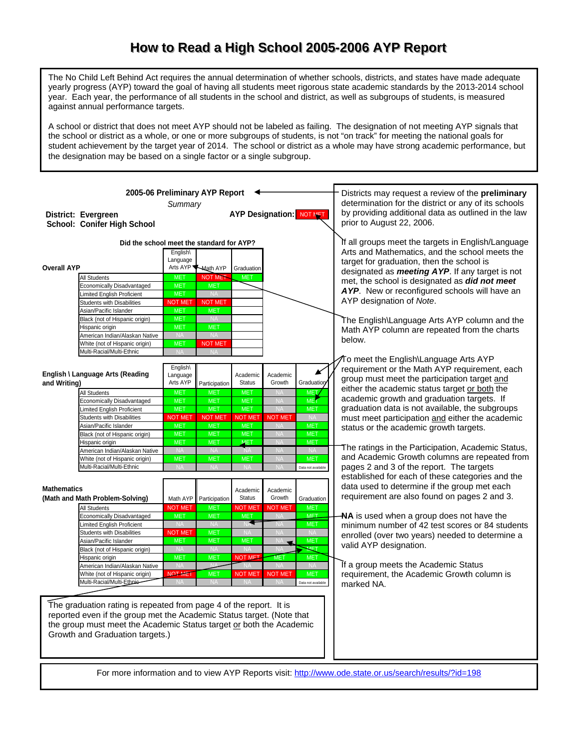## How to Read a High School 2005-2006 AYP Report

The No Child Left Behind Act requires the annual determination of whether schools, districts, and states have made adequate yearly progress (AYP) toward the goal of having all students meet rigorous state academic standards by the 2013-2014 school year. Each year, the performance of all students in the school and district, as well as subgroups of students, is measured against annual performance targets.

A school or district that does not meet AYP should not be labeled as failing. The designation of not meeting AYP signals that the school or district as a whole, or one or more subgroups of students, is not "on track" for meeting the national goals for student achievement by the target year of 2014. The school or district as a whole may have strong academic performance, but the designation may be based on a single factor or a single subgroup.

| 2005-06 Preliminary AYP Report  |                                                                        |                                  |                              |                          |                                 | Districts may request a review of the preliminary    |                                                                                                       |
|---------------------------------|------------------------------------------------------------------------|----------------------------------|------------------------------|--------------------------|---------------------------------|------------------------------------------------------|-------------------------------------------------------------------------------------------------------|
| Summary                         |                                                                        |                                  |                              |                          |                                 | determination for the district or any of its schools |                                                                                                       |
|                                 | District: Evergreen                                                    |                                  |                              |                          | <b>AYP Designation: NOT MET</b> |                                                      | by providing additional data as outlined in the law                                                   |
|                                 | School: Conifer High School                                            |                                  |                              |                          |                                 |                                                      | prior to August 22, 2006.                                                                             |
|                                 |                                                                        |                                  |                              |                          |                                 |                                                      |                                                                                                       |
|                                 | Did the school meet the standard for AYP?                              |                                  |                              |                          |                                 |                                                      | If all groups meet the targets in English/Language                                                    |
|                                 |                                                                        | English\                         |                              |                          |                                 |                                                      | Arts and Mathematics, and the school meets the                                                        |
|                                 |                                                                        | Language                         |                              |                          |                                 |                                                      | target for graduation, then the school is                                                             |
| <b>Overall AYP</b>              |                                                                        |                                  | Arts AYP Anath AYP           | Graduation               |                                 |                                                      | designated as <b>meeting AYP</b> . If any target is not                                               |
|                                 | <b>All Students</b>                                                    | <b>MET</b>                       | <b>NOT MET</b>               | <b>MET</b>               |                                 |                                                      | met, the school is designated as did not meet                                                         |
|                                 | Economically Disadvantaged<br>Limited English Proficient               | <b>MET</b><br><b>MET</b>         | <b>MET</b><br><b>NA</b>      |                          |                                 |                                                      | AYP. New or reconfigured schools will have an                                                         |
|                                 | <b>Students with Disabilities</b>                                      | <b>NOT MET</b>                   | <b>NOT MET</b>               |                          |                                 |                                                      | AYP designation of Note.                                                                              |
|                                 | Asian/Pacific Islander                                                 | <b>MET</b>                       | <b>MET</b>                   |                          |                                 |                                                      |                                                                                                       |
|                                 | Black (not of Hispanic origin)                                         | <b>MET</b>                       | <b>NA</b>                    |                          |                                 |                                                      | The English\Language Arts AYP column and the                                                          |
|                                 | Hispanic origin                                                        | <b>MET</b>                       | <b>MET</b>                   |                          |                                 |                                                      | Math AYP column are repeated from the charts                                                          |
|                                 | American Indian/Alaskan Native                                         | <b>NA</b>                        | <b>NA</b>                    |                          |                                 |                                                      | below.                                                                                                |
|                                 | White (not of Hispanic origin)<br>Multi-Racial/Multi-Ethnic            | <b>MET</b><br><b>NA</b>          | <b>NOT MET</b>               |                          |                                 |                                                      |                                                                                                       |
|                                 |                                                                        |                                  | <b>NA</b>                    |                          |                                 |                                                      | ⁄To meet the English\Language Arts AYP                                                                |
|                                 |                                                                        | English\                         |                              |                          |                                 |                                                      | requirement or the Math AYP requirement, each                                                         |
|                                 | English \ Language Arts (Reading                                       | Language                         |                              | Academic                 | Academic                        |                                                      | group must meet the participation target and                                                          |
| and Writing)                    |                                                                        | Arts AYP                         | Participation                | <b>Status</b>            | Growth                          | <b>Graduation</b>                                    | either the academic status target or both the                                                         |
|                                 | <b>All Students</b>                                                    | <b>MET</b>                       | <b>MET</b>                   | <b>MET</b>               | <b>NA</b>                       | <b>MET</b>                                           | academic growth and graduation targets. If                                                            |
|                                 | <b>Economically Disadvantaged</b>                                      | <b>MET</b><br><b>MET</b>         | <b>MET</b>                   | <b>MET</b><br><b>MET</b> | <b>NA</b>                       | <b>MET</b>                                           | graduation data is not available, the subgroups                                                       |
|                                 | <b>Limited English Proficient</b><br><b>Students with Disabilities</b> | <b>NOT MET</b>                   | <b>MET</b><br><b>NOT MET</b> | <b>NOT MET</b>           | <b>NA</b><br><b>NOT MET</b>     | <b>MET</b><br><b>NA</b>                              | must meet participation and either the academic                                                       |
|                                 | Asian/Pacific Islander                                                 | <b>MET</b>                       | <b>MET</b>                   | <b>MET</b>               | <b>NA</b>                       | <b>MET</b>                                           | status or the academic growth targets.                                                                |
|                                 | Black (not of Hispanic origin)                                         | <b>MET</b>                       | <b>MET</b>                   | <b>MET</b>               | <b>NA</b>                       | <b>MET</b>                                           |                                                                                                       |
|                                 | Hispanic origin                                                        | <b>MET</b>                       | <b>MET</b>                   | <b>MET</b>               | <b>NA</b>                       | <b>MET</b>                                           |                                                                                                       |
|                                 | American Indian/Alaskan Native                                         | <b>NA</b>                        | <b>NA</b>                    |                          | <b>NA</b>                       | <b>NA</b>                                            | The ratings in the Participation, Academic Status,                                                    |
|                                 | White (not of Hispanic origin)                                         | <b>MET</b>                       | <b>MET</b>                   | <b>MET</b>               | <b>NA</b>                       | <b>MET</b>                                           | and Academic Growth columns are repeated from                                                         |
|                                 | Multi-Racial/Multi-Ethnic                                              |                                  |                              |                          |                                 | Data not available                                   | pages 2 and 3 of the report. The targets                                                              |
|                                 |                                                                        |                                  |                              |                          |                                 |                                                      | established for each of these categories and the                                                      |
| <b>Mathematics</b>              |                                                                        |                                  |                              | Academic                 | Academic                        |                                                      | data used to determine if the group met each                                                          |
|                                 | (Math and Math Problem-Solving)                                        | Math AYP                         | Participation                | <b>Status</b>            | Growth                          | Graduation                                           | requirement are also found on pages 2 and 3.                                                          |
|                                 | <b>All Students</b>                                                    | <b>NOT MET</b>                   | <b>MET</b>                   | <b>NOT MET</b>           | <b>NOT MET</b>                  | <b>MET</b>                                           |                                                                                                       |
|                                 | Economically Disadvantaged                                             | <b>MET</b>                       | <b>MET</b>                   | <b>MET</b>               | <b>NA</b>                       | <b>MET</b>                                           | NA is used when a group does not have the                                                             |
|                                 | Limited English Proficient<br><b>Students with Disabilities</b>        | N <sub>A</sub><br><b>NOT MET</b> | <b>NA</b><br><b>MET</b>      | <b>NA</b>                | ΝA<br><b>NA</b>                 | <b>MET</b><br><b>NA</b>                              | minimum number of 42 test scores or 84 students                                                       |
|                                 | Asian/Pacific Islander                                                 | <b>MET</b>                       | <b>MET</b>                   | <b>MET</b>               | NA<br>$\overline{\phantom{a}}$  | <b>MET</b>                                           | enrolled (over two years) needed to determine a                                                       |
|                                 | Black (not of Hispanic origin)                                         | <b>NA</b>                        | <b>NA</b>                    | <b>NA</b>                |                                 | MET                                                  | valid AYP designation.                                                                                |
|                                 | Hispanic origin                                                        | <b>MET</b>                       | <b>MET</b>                   | <b>NOT MET</b>           | <b>MET</b>                      | <b>MET</b>                                           |                                                                                                       |
|                                 | American Indian/Alaskan Native                                         | <b>NA</b>                        | NΔ                           | <b>NA</b>                | <b>NA</b>                       | <b>NA</b>                                            | If a group meets the Academic Status                                                                  |
|                                 | White (not of Hispanic origin)<br>Multi-Racial/Multi-Ethnie-           | <b>NOT MET</b><br><b>NA</b>      | <b>MET</b>                   | <b>NOT MET</b>           | <b>NOT MET</b><br><b>NA</b>     | <b>MET</b>                                           | requirement, the Academic Growth column is                                                            |
|                                 |                                                                        |                                  | <b>NA</b>                    | <b>NA</b>                |                                 | Data not available                                   | marked NA.                                                                                            |
|                                 |                                                                        |                                  |                              |                          |                                 |                                                      |                                                                                                       |
|                                 | The graduation rating is repeated from page 4 of the report. It is     |                                  |                              |                          |                                 |                                                      |                                                                                                       |
|                                 | reported even if the group met the Academic Status target. (Note that  |                                  |                              |                          |                                 |                                                      |                                                                                                       |
|                                 | the group must meet the Academic Status target or both the Academic    |                                  |                              |                          |                                 |                                                      |                                                                                                       |
| Growth and Graduation targets.) |                                                                        |                                  |                              |                          |                                 |                                                      |                                                                                                       |
|                                 |                                                                        |                                  |                              |                          |                                 |                                                      |                                                                                                       |
|                                 |                                                                        |                                  |                              |                          |                                 |                                                      |                                                                                                       |
|                                 |                                                                        |                                  |                              |                          |                                 |                                                      |                                                                                                       |
|                                 |                                                                        |                                  |                              |                          |                                 |                                                      | For more information and to view AYP Reports visit: http://www.ode.state.or.us/search/results/?id=198 |